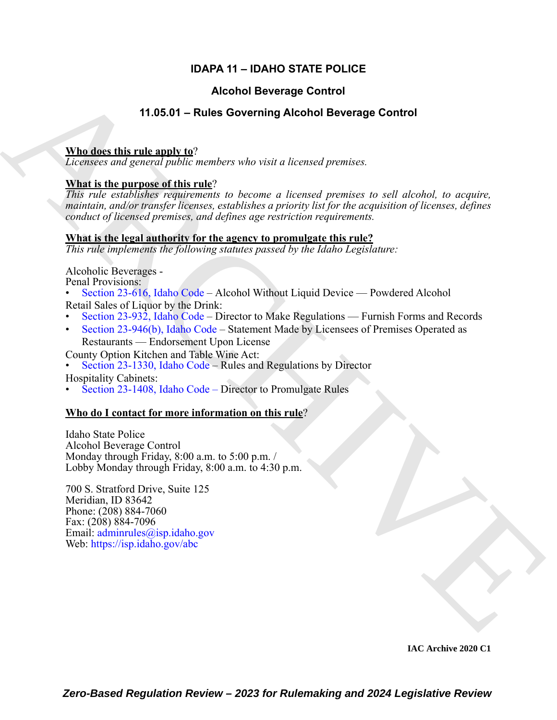# **IDAPA 11 – IDAHO STATE POLICE**

# **Alcohol Beverage Control**

# **11.05.01 – Rules Governing Alcohol Beverage Control**

## **Who does this rule apply to**?

*Licensees and general public members who visit a licensed premises.*

# **What is the purpose of this rule**?

**ALCODED ENVE[R](https://legislature.idaho.gov/statutesrules/idstat/Title23/T23CH6/SECT23-616/)GE [C](https://legislature.idaho.gov/statutesrules/idstat/Title23/T23CH9/SECT23-946/)O[VE](mailto: adminrules@isp.idaho.gov)RED (METALEM SCRIP)**<br> **ARCHIVE THE SURFACE COVERED SECTION AND ACTION CONTINUES.**<br> **ARCHIVE THE SURFACE AND ARCHIVE TO A SURFACE CONTINUES**<br> **ARCHIVE TO A SURFACE CONTINUES (METALEM SCRIP)**<br> **ARCHIVE** *This rule establishes requirements to become a licensed premises to sell alcohol, to acquire, maintain, and/or transfer licenses, establishes a priority list for the acquisition of licenses, defines conduct of licensed premises, and defines age restriction requirements.*

## **What is the legal authority for the agency to promulgate this rule?**

*This rule implements the following statutes passed by the Idaho Legislature:*

Alcoholic Beverages -

Penal Provisions:

- Section 23-616, Idaho Code Alcohol Without Liquid Device Powdered Alcohol Retail Sales of Liquor by the Drink:
- Section 23-932, Idaho Code Director to Make Regulations Furnish Forms and Records
- Section 23-946(b), Idaho Code Statement Made by Licensees of Premises Operated as Restaurants — Endorsement Upon License

County Option Kitchen and Table Wine Act:

• Section 23-1330, Idaho Code – Rules and Regulations by Director

Hospitality Cabinets:

• Section 23-1408, Idaho Code – Director to Promulgate Rules

# **Who do I contact for more information on this rule**?

Idaho State Police Alcohol Beverage Control Monday through Friday, 8:00 a.m. to 5:00 p.m. / Lobby Monday through Friday, 8:00 a.m. to 4:30 p.m.

700 S. Stratford Drive, Suite 125 Meridian, ID 83642 Phone: (208) 884-7060 Fax: (208) 884-7096 Email: adminrules@isp.idaho.gov Web: https://isp.idaho.gov/abc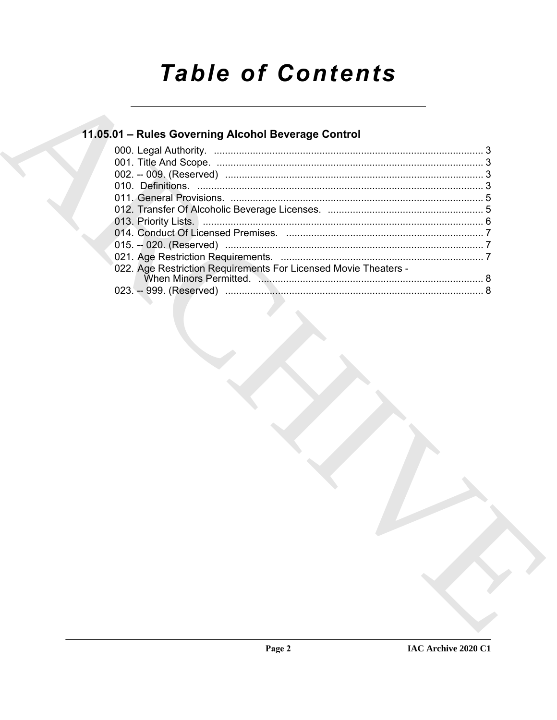# **Table of Contents**

# 11.05.01 - Rules Governing Alcohol Beverage Control

| 022. Age Restriction Requirements For Licensed Movie Theaters - |  |
|-----------------------------------------------------------------|--|
|                                                                 |  |
|                                                                 |  |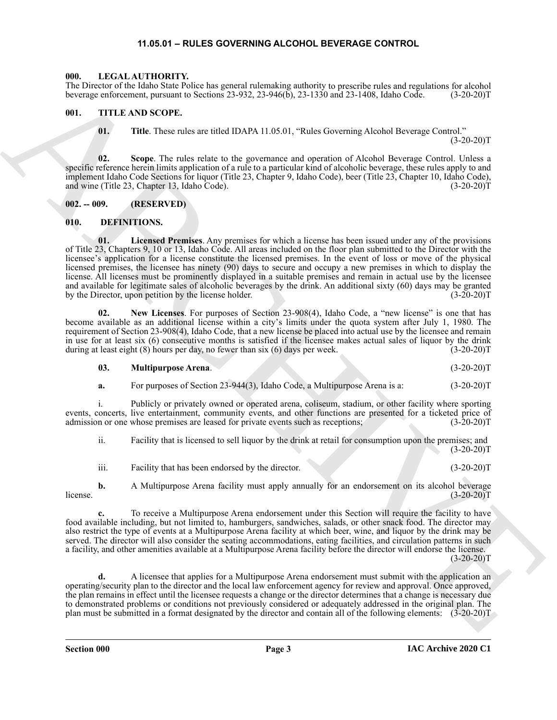#### **11.05.01 – RULES GOVERNING ALCOHOL BEVERAGE CONTROL**

#### <span id="page-2-9"></span><span id="page-2-1"></span><span id="page-2-0"></span>**000. LEGAL AUTHORITY.**

The Director of the Idaho State Police has general rulemaking authority to prescribe rules and regulations for alcohol beverage enforcement, pursuant to Sections 23-932, 23-946(b), 23-1330 and 23-1408, Idaho Code. (3-20-20)T

#### <span id="page-2-2"></span>**001. TITLE AND SCOPE.**

<span id="page-2-10"></span>**01. Title**. These rules are titled IDAPA 11.05.01, "Rules Governing Alcohol Beverage Control."

 $(3-20-20)T$ 

**02. Scope**. The rules relate to the governance and operation of Alcohol Beverage Control. Unless a specific reference herein limits application of a rule to a particular kind of alcoholic beverage, these rules apply to and implement Idaho Code Sections for liquor (Title 23, Chapter 9, Idaho Code), beer (Title 23, Chapter 10, Idaho Code), and wine (Title 23, Chapter 13, Idaho Code). (3-20-20)T

<span id="page-2-3"></span>**002. -- 009. (RESERVED)**

#### <span id="page-2-6"></span><span id="page-2-5"></span><span id="page-2-4"></span>**010. DEFINITIONS.**

The Chinara of the blue blue blue blue associated the share of the chinara of the chinara of the chinara of the chinara of the chinara of the chinara of the chinara of the chinara of the chinara of the chinara of the chin **01. Licensed Premises**. Any premises for which a license has been issued under any of the provisions of Title 23, Chapters 9, 10 or 13, Idaho Code. All areas included on the floor plan submitted to the Director with the licensee's application for a license constitute the licensed premises. In the event of loss or move of the physical licensed premises, the licensee has ninety (90) days to secure and occupy a new premises in which to display the license. All licenses must be prominently displayed in a suitable premises and remain in actual use by the licensee and available for legitimate sales of alcoholic beverages by the drink. An additional sixty (60) days may be granted<br>by the Director, upon petition by the license holder. (3-20-20) by the Director, upon petition by the license holder.

<span id="page-2-8"></span>**02. New Licenses**. For purposes of Section 23-908(4), Idaho Code, a "new license" is one that has become available as an additional license within a city's limits under the quota system after July 1, 1980. The requirement of Section 23-908(4), Idaho Code, that a new license be placed into actual use by the licensee and remain in use for at least six (6) consecutive months is satisfied if the licensee makes actual sales of liquor by the drink during at least eight (8) hours per day, no fewer than six (6) days per week. (3-20-20)T

#### <span id="page-2-7"></span>**03. Multipurpose Arena**. (3-20-20)T

**a.** For purposes of Section 23-944(3), Idaho Code, a Multipurpose Arena is a:  $(3-20-20)T$ 

i. Publicly or privately owned or operated arena, coliseum, stadium, or other facility where sporting events, concerts, live entertainment, community events, and other functions are presented for a ticketed price of admission or one whose premises are leased for private events such as receptions; (3-20-20)T

ii. Facility that is licensed to sell liquor by the drink at retail for consumption upon the premises; and  $(3-20-20)T$ 

iii. Facility that has been endorsed by the director. (3-20-20) T

**b.** A Multipurpose Arena facility must apply annually for an endorsement on its alcohol beverage (3-20-20)T license.  $(3-20-20)T$ 

**c.** To receive a Multipurpose Arena endorsement under this Section will require the facility to have food available including, but not limited to, hamburgers, sandwiches, salads, or other snack food. The director may also restrict the type of events at a Multipurpose Arena facility at which beer, wine, and liquor by the drink may be served. The director will also consider the seating accommodations, eating facilities, and circulation patterns in such a facility, and other amenities available at a Multipurpose Arena facility before the director will endorse the license.  $(3-20-20)T$ 

**d.** A licensee that applies for a Multipurpose Arena endorsement must submit with the application an operating/security plan to the director and the local law enforcement agency for review and approval. Once approved, the plan remains in effect until the licensee requests a change or the director determines that a change is necessary due to demonstrated problems or conditions not previously considered or adequately addressed in the original plan. The plan must be submitted in a format designated by the director and contain all of the following elements: (3-20-20)T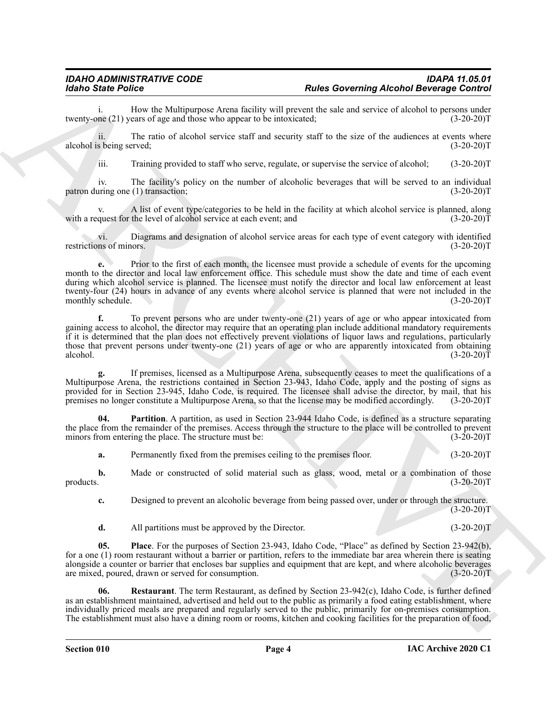i. How the Multipurpose Arena facility will prevent the sale and service of alcohol to persons under the (21) years of age and those who appear to be intoxicated; (3-20-20) twenty-one  $(21)$  years of age and those who appear to be intoxicated;

ii. The ratio of alcohol service staff and security staff to the size of the audiences at events where alcohol is being served; (3-20-20)T

iii. Training provided to staff who serve, regulate, or supervise the service of alcohol; (3-20-20)T

iv. The facility's policy on the number of alcoholic beverages that will be served to an individual patron during one (1) transaction; (3-20-20)T

A list of event type/categories to be held in the facility at which alcohol service is planned, along the level of alcohol service at each event; and (3-20-20) with a request for the level of alcohol service at each event; and

vi. Diagrams and designation of alcohol service areas for each type of event category with identified restrictions of minors.

**Example Force Contributes** on the state of state **Contributes** on the **main of the state of the state of the state of the state of the state of the state of the state of the state of the state of the state of the state e.** Prior to the first of each month, the licensee must provide a schedule of events for the upcoming month to the director and local law enforcement office. This schedule must show the date and time of each event during which alcohol service is planned. The licensee must notify the director and local law enforcement at least twenty-four (24) hours in advance of any events where alcohol service is planned that were not included in the monthly schedule. (3-20-20) monthly schedule.

**f.** To prevent persons who are under twenty-one (21) years of age or who appear intoxicated from gaining access to alcohol, the director may require that an operating plan include additional mandatory requirements if it is determined that the plan does not effectively prevent violations of liquor laws and regulations, particularly those that prevent persons under twenty-one (21) years of age or who are apparently intoxicated from obtaining alcohol. (3-20-20)  $\alpha$  alcohol. (3-20-20)T

**g.** If premises, licensed as a Multipurpose Arena, subsequently ceases to meet the qualifications of a Multipurpose Arena, the restrictions contained in Section 23-943, Idaho Code, apply and the posting of signs as provided for in Section 23-945, Idaho Code, is required. The licensee shall advise the director, by mail, that his premises no longer constitute a Multipurpose Arena, so that the license may be modified accordingly. (3-20-20)T

**04. Partition**. A partition, as used in Section 23-944 Idaho Code, is defined as a structure separating the place from the remainder of the premises. Access through the structure to the place will be controlled to prevent<br>minors from entering the place. The structure must be: (3-20-20) minors from entering the place. The structure must be:

<span id="page-3-0"></span>**a.** Permanently fixed from the premises ceiling to the premises floor. (3-20-20)T

**b.** Made or constructed of solid material such as glass, wood, metal or a combination of those (3-20-20) products. (3-20-20)T

**c.** Designed to prevent an alcoholic beverage from being passed over, under or through the structure.  $(3-20-20)T$ 

<span id="page-3-2"></span><span id="page-3-1"></span>**d.** All partitions must be approved by the Director. (3-20-20)T

**05. Place**. For the purposes of Section 23-943, Idaho Code, "Place" as defined by Section 23-942(b), for a one (1) room restaurant without a barrier or partition, refers to the immediate bar area wherein there is seating alongside a counter or barrier that encloses bar supplies and equipment that are kept, and where alcoholic beverages are mixed, poured, drawn or served for consumption. (3-20-20)T

**06. Restaurant**. The term Restaurant, as defined by Section 23-942(c), Idaho Code, is further defined as an establishment maintained, advertised and held out to the public as primarily a food eating establishment, where individually priced meals are prepared and regularly served to the public, primarily for on-premises consumption. The establishment must also have a dining room or rooms, kitchen and cooking facilities for the preparation of food,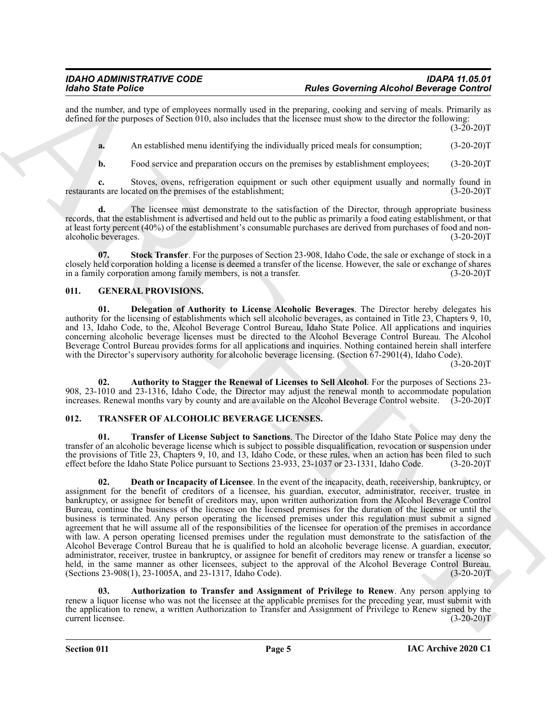and the number, and type of employees normally used in the preparing, cooking and serving of meals. Primarily as defined for the purposes of Section 010, also includes that the licensee must show to the director the following:  $(3-20-20)T$ 

**a.** An established menu identifying the individually priced meals for consumption; (3-20-20)T

**b.** Food service and preparation occurs on the premises by establishment employees; (3-20-20)T

**c.** Stoves, ovens, refrigeration equipment or such other equipment usually and normally found in restaurants are located on the premises of the establishment; (3-20-20)T

**d.** The licensee must demonstrate to the satisfaction of the Director, through appropriate business records, that the establishment is advertised and held out to the public as primarily a food eating establishment, or that at least forty percent (40%) of the establishment's consumable purchases are derived from purchases of food and nonalcoholic beverages. (3-20-20)T

<span id="page-4-2"></span>**07. Stock Transfer**. For the purposes of Section 23-908, Idaho Code, the sale or exchange of stock in a closely held corporation holding a license is deemed a transfer of the license. However, the sale or exchange of shares in a family corporation among family members, is not a transfer. (3-20-20)T

#### <span id="page-4-3"></span><span id="page-4-0"></span>**011. GENERAL PROVISIONS.**

<span id="page-4-5"></span>**01. Delegation of Authority to License Alcoholic Beverages**. The Director hereby delegates his authority for the licensing of establishments which sell alcoholic beverages, as contained in Title 23, Chapters 9, 10, and 13, Idaho Code, to the, Alcohol Beverage Control Bureau, Idaho State Police. All applications and inquiries concerning alcoholic beverage licenses must be directed to the Alcohol Beverage Control Bureau. The Alcohol Beverage Control Bureau provides forms for all applications and inquiries. Nothing contained herein shall interfere with the Director's supervisory authority for alcoholic beverage licensing. (Section 67-2901(4), Idaho Code).

 $(3-20-20)$ T

<span id="page-4-4"></span>**02. Authority to Stagger the Renewal of Licenses to Sell Alcohol**. For the purposes of Sections 23- 908, 23-1010 and 23-1316, Idaho Code, the Director may adjust the renewal month to accommodate population increases. Renewal months vary by county and are available on the Alcohol Beverage Control website. (3-20-20)T

#### <span id="page-4-6"></span><span id="page-4-1"></span>**012. TRANSFER OF ALCOHOLIC BEVERAGE LICENSES.**

<span id="page-4-9"></span><span id="page-4-8"></span>**01. Transfer of License Subject to Sanctions**. The Director of the Idaho State Police may deny the transfer of an alcoholic beverage license which is subject to possible disqualification, revocation or suspension under the provisions of Title 23, Chapters 9, 10, and 13, Idaho Code, or these rules, when an action has been filed to such effect before the Idaho State Police pursuant to Sections 23-933, 23-1037 or 23-1331, Idaho Code. (3-20effect before the Idaho State Police pursuant to Sections 23-933, 23-1037 or 23-1331, Idaho Code.

For Since Points on the particle and proposition in Forming Alechoring Alechoring Control Bernard Control Bernard Control Bernard Control Bernard Control Bernard Control Bernard Control Bernard Control Bernard Control Ber **02. Death or Incapacity of Licensee**. In the event of the incapacity, death, receivership, bankruptcy, or assignment for the benefit of creditors of a licensee, his guardian, executor, administrator, receiver, trustee in bankruptcy, or assignee for benefit of creditors may, upon written authorization from the Alcohol Beverage Control Bureau, continue the business of the licensee on the licensed premises for the duration of the license or until the business is terminated. Any person operating the licensed premises under this regulation must submit a signed agreement that he will assume all of the responsibilities of the licensee for operation of the premises in accordance with law. A person operating licensed premises under the regulation must demonstrate to the satisfaction of the Alcohol Beverage Control Bureau that he is qualified to hold an alcoholic beverage license. A guardian, executor, administrator, receiver, trustee in bankruptcy, or assignee for benefit of creditors may renew or transfer a license so held, in the same manner as other licensees, subject to the approval of the Alcohol Beverage Control Bureau. (Sections 23-908(1), 23-1005A, and 23-1317, Idaho Code). (3-20-20)T

<span id="page-4-7"></span>**03. Authorization to Transfer and Assignment of Privilege to Renew**. Any person applying to renew a liquor license who was not the licensee at the applicable premises for the preceding year, must submit with the application to renew, a written Authorization to Transfer and Assignment of Privilege to Renew signed by the current licensee. (3-20-20)T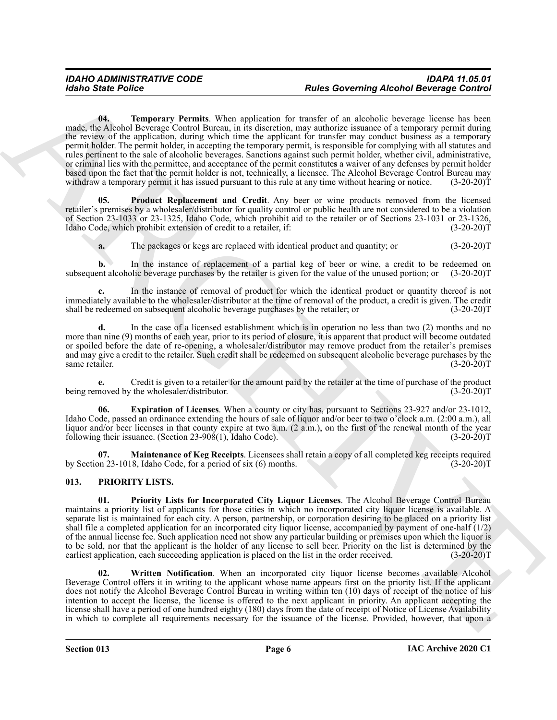Rodro State Police<br>
Toda Correlation Mathematic Value application of Raction Carried Bereitzer German and School Reverse Correlation of Raction Carried Correlation School Reverse Correlation of Raction Carried Correlation **04. Temporary Permits**. When application for transfer of an alcoholic beverage license has been made, the Alcohol Beverage Control Bureau, in its discretion, may authorize issuance of a temporary permit during the review of the application, during which time the applicant for transfer may conduct business as a temporary permit holder. The permit holder, in accepting the temporary permit, is responsible for complying with all statutes and rules pertinent to the sale of alcoholic beverages. Sanctions against such permit holder, whether civil, administrative, or criminal lies with the permittee, and acceptance of the permit constitute**s** a waiver of any defenses by permit holder based upon the fact that the permit holder is not, technically, a licensee. The Alcohol Beverage Control Bureau may withdraw a temporary permit it has issued pursuant to this rule at any time without hearing or notice. (3-20-20)T

<span id="page-5-7"></span>**05. Product Replacement and Credit**. Any beer or wine products removed from the licensed retailer's premises by a wholesaler/distributor for quality control or public health are not considered to be a violation of Section 23-1033 or 23-1325, Idaho Code, which prohibit aid to the retailer or of Sections 23-1031 or 23-1326, Idaho Code, which prohibit extension of credit to a retailer, if: (3-20-20)T

<span id="page-5-6"></span>**a.** The packages or kegs are replaced with identical product and quantity; or  $(3-20-20)$ T

**b.** In the instance of replacement of a partial keg of beer or wine, a credit to be redeemed on subsequent alcoholic beverage purchases by the retailer is given for the value of the unused portion; or (3-20-20)T

**c.** In the instance of removal of product for which the identical product or quantity thereof is not immediately available to the wholesaler/distributor at the time of removal of the product, a credit is given. The credit shall be redeemed on subsequent alcoholic beverage purchases by the retailer; or

**d.** In the case of a licensed establishment which is in operation no less than two (2) months and no more than nine (9) months of each year, prior to its period of closure, it is apparent that product will become outdated or spoiled before the date of re-opening, a wholesaler/distributor may remove product from the retailer's premises and may give a credit to the retailer. Such credit shall be redeemed on subsequent alcoholic beverage purchases by the same retailer. (3-20-20)T

**e.** Credit is given to a retailer for the amount paid by the retailer at the time of purchase of the product being removed by the wholesaler/distributor. (3-20-20)T

<span id="page-5-4"></span>**06. Expiration of Licenses**. When a county or city has, pursuant to Sections 23-927 and/or 23-1012, Idaho Code, passed an ordinance extending the hours of sale of liquor and/or beer to two o'clock a.m. (2:00 a.m.), all liquor and/or beer licenses in that county expire at two a.m. (2 a.m.), on the first of the renewal month of the year following their issuance. (Section 23-908(1), Idaho Code). (3-20-20)T

<span id="page-5-5"></span>**Maintenance of Keg Receipts**. Licensees shall retain a copy of all completed keg receipts required 8, Idaho Code, for a period of six (6) months. (3-20-20) by Section 23-1018, Idaho Code, for a period of six  $(6)$  months.

#### <span id="page-5-2"></span><span id="page-5-1"></span><span id="page-5-0"></span>**013. PRIORITY LISTS.**

**01. Priority Lists for Incorporated City Liquor Licenses**. The Alcohol Beverage Control Bureau maintains a priority list of applicants for those cities in which no incorporated city liquor license is available. A separate list is maintained for each city. A person, partnership, or corporation desiring to be placed on a priority list shall file a completed application for an incorporated city liquor license, accompanied by payment of one-half (1/2) of the annual license fee. Such application need not show any particular building or premises upon which the liquor is to be sold, nor that the applicant is the holder of any license to sell beer. Priority on the list is determined by the earliest application, each succeeding application is placed on the list in the order received. (3-20-2 earliest application, each succeeding application is placed on the list in the order received.

<span id="page-5-3"></span>**Written Notification.** When an incorporated city liquor license becomes available Alcohol Beverage Control offers it in writing to the applicant whose name appears first on the priority list. If the applicant does not notify the Alcohol Beverage Control Bureau in writing within ten (10) days of receipt of the notice of his intention to accept the license, the license is offered to the next applicant in priority. An applicant accepting the license shall have a period of one hundred eighty (180) days from the date of receipt of Notice of License Availability in which to complete all requirements necessary for the issuance of the license. Provided, however, that upon a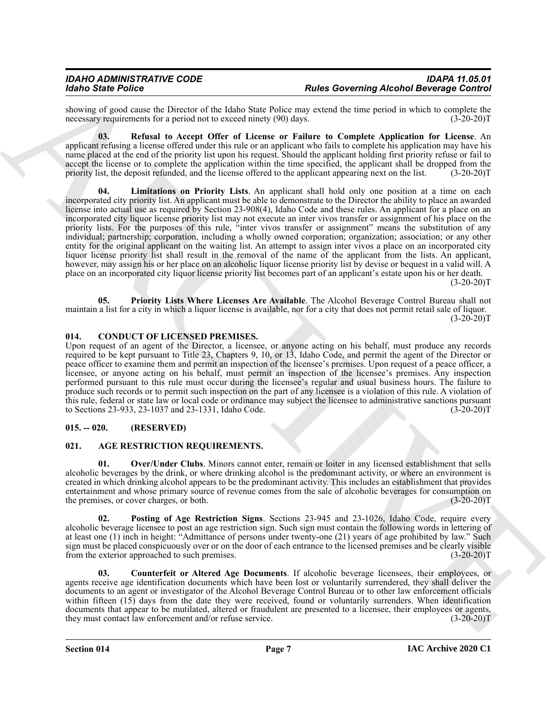showing of good cause the Director of the Idaho State Police may extend the time period in which to complete the necessary requirements for a period not to exceed ninety (90) days. (3-20-20) necessary requirements for a period not to exceed ninety (90) days.

<span id="page-6-10"></span><span id="page-6-8"></span>**03. Refusal to Accept Offer of License or Failure to Complete Application for License**. An applicant refusing a license offered under this rule or an applicant who fails to complete his application may have his name placed at the end of the priority list upon his request. Should the applicant holding first priority refuse or fail to accept the license or to complete the application within the time specified, the applicant shall be dropped from the priority list, the deposit refunded, and the license offered to the applicant appearing next on the list. (3-20-20)T

More Since Points on the United Since Control and Review of the United Since Control and Since Control and Since Control and Since Control and Since Control and Since Control and Since Control and Since Control and Since **04. Limitations on Priority Lists**. An applicant shall hold only one position at a time on each incorporated city priority list. An applicant must be able to demonstrate to the Director the ability to place an awarded license into actual use as required by Section 23-908(4), Idaho Code and these rules. An applicant for a place on an incorporated city liquor license priority list may not execute an inter vivos transfer or assignment of his place on the priority lists. For the purposes of this rule, "inter vivos transfer or assignment" means the substitution of any individual; partnership; corporation, including a wholly owned corporation; organization; association; or any other entity for the original applicant on the waiting list. An attempt to assign inter vivos a place on an incorporated city liquor license priority list shall result in the removal of the name of the applicant from the lists. An applicant, however, may assign his or her place on an alcoholic liquor license priority list by devise or bequest in a valid will. A place on an incorporated city liquor license priority list becomes part of an applicant's estate upon his or her death.  $(3-20-20)T$ 

<span id="page-6-9"></span>**05. Priority Lists Where Licenses Are Available**. The Alcohol Beverage Control Bureau shall not maintain a list for a city in which a liquor license is available, nor for a city that does not permit retail sale of liquor.  $(3-20-20)T$ 

#### <span id="page-6-7"></span><span id="page-6-0"></span>**014. CONDUCT OF LICENSED PREMISES.**

Upon request of an agent of the Director, a licensee, or anyone acting on his behalf, must produce any records required to be kept pursuant to Title 23, Chapters 9, 10, or 13, Idaho Code, and permit the agent of the Director or peace officer to examine them and permit an inspection of the licensee's premises. Upon request of a peace officer, a licensee, or anyone acting on his behalf, must permit an inspection of the licensee's premises. Any inspection performed pursuant to this rule must occur during the licensee's regular and usual business hours. The failure to produce such records or to permit such inspection on the part of any licensee is a violation of this rule. A violation of this rule, federal or state law or local code or ordinance may subject the licensee to administrative sanctions pursuant to Sections 23-933, 23-1037 and 23-1331, Idaho Code. (3-20-20) to Sections 23-933, 23-1037 and 23-1331, Idaho Code.

#### <span id="page-6-1"></span>**015. -- 020. (RESERVED)**

#### <span id="page-6-3"></span><span id="page-6-2"></span>**021. AGE RESTRICTION REQUIREMENTS.**

<span id="page-6-5"></span>**01. Over/Under Clubs**. Minors cannot enter, remain or loiter in any licensed establishment that sells alcoholic beverages by the drink, or where drinking alcohol is the predominant activity, or where an environment is created in which drinking alcohol appears to be the predominant activity. This includes an establishment that provides entertainment and whose primary source of revenue comes from the sale of alcoholic beverages for consumption on the premises, or cover charges, or both.  $(3-20-20)$ the premises, or cover charges, or both.

<span id="page-6-6"></span>**02. Posting of Age Restriction Signs**. Sections 23-945 and 23-1026, Idaho Code, require every alcoholic beverage licensee to post an age restriction sign. Such sign must contain the following words in lettering of at least one (1) inch in height: "Admittance of persons under twenty-one (21) years of age prohibited by law." Such sign must be placed conspicuously over or on the door of each entrance to the licensed premises and be clearly visible<br>from the exterior approached to such premises. (3-20-20) from the exterior approached to such premises.

<span id="page-6-4"></span>**03. Counterfeit or Altered Age Documents**. If alcoholic beverage licensees, their employees, or agents receive age identification documents which have been lost or voluntarily surrendered, they shall deliver the documents to an agent or investigator of the Alcohol Beverage Control Bureau or to other law enforcement officials within fifteen (15) days from the date they were received, found or voluntarily surrenders. When identification documents that appear to be mutilated, altered or fraudulent are presented to a licensee, their employees or agents, they must contact law enforcement and/or refuse service. (3-20-20)T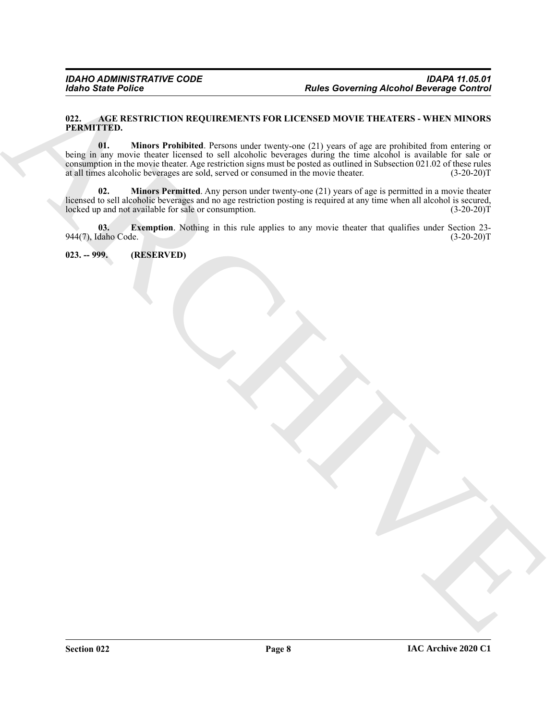#### <span id="page-7-5"></span><span id="page-7-2"></span><span id="page-7-0"></span>**022. AGE RESTRICTION REQUIREMENTS FOR LICENSED MOVIE THEATERS - WHEN MINORS PERMITTED.**

Form State Poince<br>
The Convention Construction Construction Construction Construction Construction Construction Construction Construction Construction Construction Construction Construction Construction Construction Const **01. Minors Prohibited**. Persons under twenty-one (21) years of age are prohibited from entering or being in any movie theater licensed to sell alcoholic beverages during the time alcohol is available for sale or consumption in the movie theater. Age restriction signs must be posted as outlined in Subsection 021.02 of these rules at all times alcoholic beverages are sold, served or consumed in the movie theater. (3-20-20)T at all times alcoholic beverages are sold, served or consumed in the movie theater.

<span id="page-7-4"></span>**02. Minors Permitted**. Any person under twenty-one (21) years of age is permitted in a movie theater licensed to sell alcoholic beverages and no age restriction posting is required at any time when all alcohol is secured, locked up and not available for sale or consumption. (3-20-20) locked up and not available for sale or consumption.

<span id="page-7-3"></span>**03. Exemption**. Nothing in this rule applies to any movie theater that qualifies under Section 23- 944(7), Idaho Code. (3-20-20)T

<span id="page-7-1"></span>**023. -- 999. (RESERVED)**